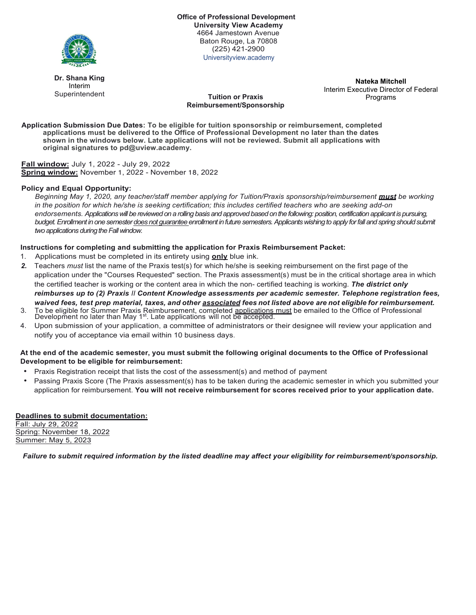

**Office of Professional Development University View Academy** 4664 Jamestown Avenue Baton Rouge, La 70808 (225) 421-2900 Universityview.academy

**Tuition or Praxis Reimbursement/Sponsorship**

**Dr. Shana King** Interim Superintendent

**Nateka Mitchell** Interim Executive Director of Federal Programs

**Application Submission Due Dates: To be eligible for tuition sponsorship or reimbursement, completed applications must be delivered to the Office of Professional Development no later than the dates shown in the windows below. Late applications will not be reviewed. Submit all applications with original signatures to pd@uview.academy.**

**Fall window:** July 1, 2022 - July 29, 2022 **Spring window:** November 1, 2022 - November 18, 2022

#### **Policy and Equal Opportunity:**

*Beginning May 1, 2020, any teacher/staff member applying for Tuition/Praxis sponsorship/reimbursement must be working in the position for which he/she is seeking certification; this includes certified teachers who are seeking add-on endorsements. Applications will be reviewed on a rolling basis and approved based on the following: position, certification applicant is pursuing,*  budget. Enrollment in one semester does not guarantee enrollment in future semesters. Applicants wishing to apply for fall and spring should submit *two applications during the Fall window.* 

#### **Instructions for completing and submitting the application for Praxis Reimbursement Packet:**

- 1. Applications must be completed in its entirety using **only** blue ink.
- *2.* Teachers *must* list the name of the Praxis test(s) for which he/she is seeking reimbursement on the first page of the application under the "Courses Requested" section. The Praxis assessment(s) must be in the critical shortage area in which the certified teacher is working or the content area in which the non- certified teaching is working. *The district only reimburses up to (2) Praxis II Content Knowledge assessments per academic semester. Telephone registration fees, waived fees, test prep material, taxes, and other associated fees not listed above are not eligible for reimbursement.*
- 3. To be eligible for Summer Praxis Reimbursement, completed applications must be emailed to the Office of Professional Development no later than May 1st. Late applications will not be accepted.
- 4. Upon submission of your application, a committee of administrators or their designee will review your application and notify you of acceptance via email within 10 business days.

#### **At the end of the academic semester, you must submit the following original documents to the Office of Professional Development to be eligible for reimbursement:**

- Praxis Registration receipt that lists the cost of the assessment(s) and method of payment
- Passing Praxis Score (The Praxis assessment(s) has to be taken during the academic semester in which you submitted your application for reimbursement. **You will not receive reimbursement for scores received prior to your application date.**

# **Deadlines to submit documentation:**

Fall: July 29, 2022 Spring: November 18, 2022 Summer: May 5, 2023

*Failure to submit required information by the listed deadline may affect your eligibility for reimbursement/sponsorship.*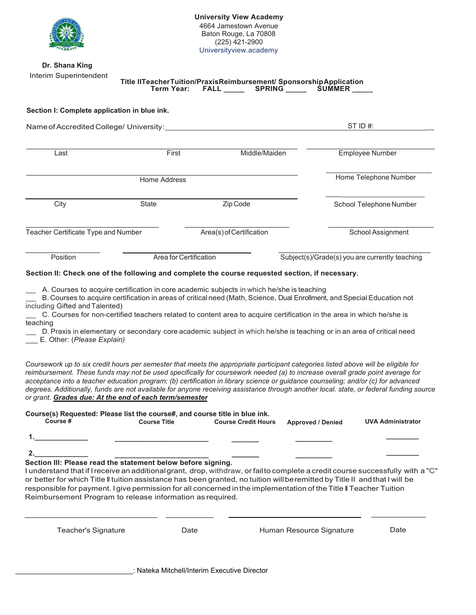

#### **Dr. Shana King** Interim Superintendent

**Title IITeacherTuition/PraxisReimbursement/ SponsorshipApplication<br>Term Year: FALL SPRING SUMMER**  $FLL$  **SPRING \_\_\_\_** SUMMER

## **Section I: Complete application in blue ink.**

| Name of Accredited College/ University: |                       |                          | ST ID $#$ :                                    |  |
|-----------------------------------------|-----------------------|--------------------------|------------------------------------------------|--|
| Last                                    | First                 | Middle/Maiden            | <b>Employee Number</b>                         |  |
|                                         | Home Telephone Number |                          |                                                |  |
| City                                    | <b>State</b>          | Zip Code                 | School Telephone Number                        |  |
| Teacher Certificate Type and Number     |                       | Area(s) of Certification | School Assignment                              |  |
| Position                                |                       | Area for Certification   | Subject(s)/Grade(s) you are currently teaching |  |

## **Section II: Check one of the following and complete the course requested section, if necessary.**

A. Courses to acquire certification in core academic subjects in which he/she is teaching

B. Courses to acquire certification in areas of critical need (Math, Science, Dual Enrollment, and Special Education not including Gifted and Talented)

C. Courses for non-certified teachers related to content area to acquire certification in the area in which he/she is teaching

D. Praxis in elementary or secondary core academic subject in which he/she is teaching or in an area of critical need \_\_\_ E. Other: (*Please Explain)* 

*Coursework up to six credit hours per semester that meets the appropriate participant categories listed above will be eligible for reimbursement. These funds may not be used specifically for coursework needed (a) to increase overall grade point average for acceptance into a teacher education program; (b) certification in library science or guidance counseling; and/or (c) for advanced degrees. Additionally, funds are not available for anyone receiving assistance through another local. state, or federal funding source or grant. Grades due: At the end of each term/semester*

| Course(s) Requested: Please list the course#, and course title in blue ink. |                     |                            |                          |                          |  |  |  |
|-----------------------------------------------------------------------------|---------------------|----------------------------|--------------------------|--------------------------|--|--|--|
| Course #                                                                    | <b>Course Title</b> | <b>Course Credit Hours</b> | <b>Approved / Denied</b> | <b>UVA Administrator</b> |  |  |  |
|                                                                             |                     |                            |                          |                          |  |  |  |
|                                                                             |                     |                            |                          |                          |  |  |  |

**2.\_\_\_\_\_\_\_\_\_\_\_\_\_** 

**\_\_\_\_\_\_\_\_\_\_\_\_\_\_\_\_\_\_\_\_\_\_\_ Section Ill: Please read the statement below before signing.**

I understand that if I receive an additionalgrant, drop, withdraw, or failto complete a credit course successfully with a "C" or better for which Title II tuition assistance has been granted, no tuition willberemitted by Title II andthat I will be responsible for payment. I give permission for all concerned in the implementation of the Title II Teacher Tuition Reimbursement Program to release information as required.

**\_\_\_\_\_\_\_**

Teacher's Signature **Communist Clare Communist Clare Clare Clare Clare Clare Clare Clare Clare Clare Clare Clare** 

**\_\_\_\_\_\_\_\_\_**

**\_\_\_\_\_\_\_\_**

\_\_\_\_\_\_\_\_\_\_\_\_\_\_\_\_\_\_\_\_\_\_\_\_\_\_\_\_\_\_: Nateka Mitchell/Interim Executive Director